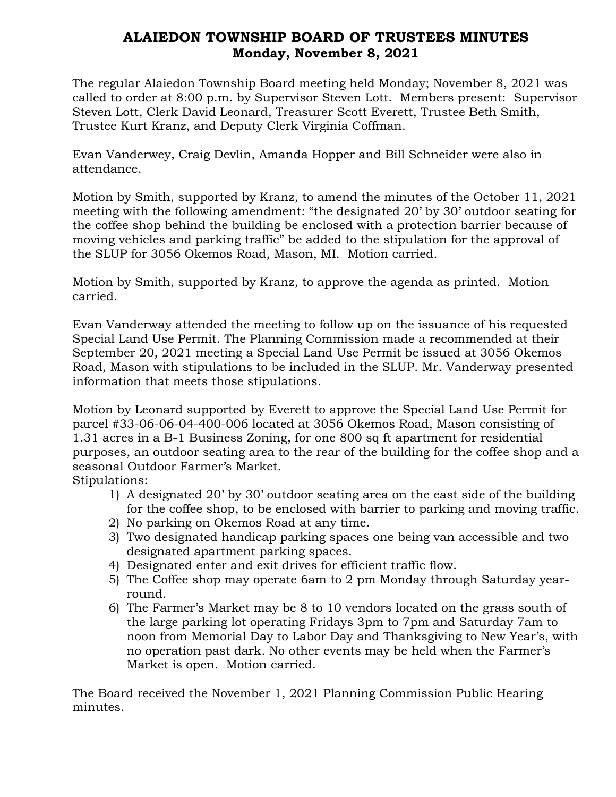## ALAIEDON TOWNSHIP BOARD OF TRUSTEES MINUTES Monday, November 8, 2021

The regular Alaiedon Township Board meeting held Monday; November 8, 2021 was called to order at 8:00 p.m. by Supervisor Steven Lott. Members present: Supervisor Steven Lott, Clerk David Leonard, Treasurer Scott Everett, Trustee Beth Smith, Trustee Kurt Kranz, and Deputy Clerk Virginia Coffman.

Evan Vanderwey, Craig Devlin, Amanda Hopper and Bill Schneider were also in attendance.

Motion by Smith, supported by Kranz, to amend the minutes of the October 11, 2021 meeting with the following amendment: "the designated 20' by 30' outdoor seating for the coffee shop behind the building be enclosed with a protection barrier because of moving vehicles and parking traffic" be added to the stipulation for the approval of the SLUP for 3056 Okemos Road, Mason, MI. Motion carried.

Motion by Smith, supported by Kranz, to approve the agenda as printed. Motion carried.

Evan Vanderway attended the meeting to follow up on the issuance of his requested Special Land Use Permit. The Planning Commission made a recommended at their September 20, 2021 meeting a Special Land Use Permit be issued at 3056 Okemos Road, Mason with stipulations to be included in the SLUP. Mr. Vanderway presented information that meets those stipulations.

Motion by Leonard supported by Everett to approve the Special Land Use Permit for parcel #33-06-06-04-400-006 located at 3056 Okemos Road, Mason consisting of 1.31 acres in a B-1 Business Zoning, for one 800 sq ft apartment for residential purposes, an outdoor seating area to the rear of the building for the coffee shop and a seasonal Outdoor Farmer's Market.

Stipulations:

- 1) A designated 20' by 30' outdoor seating area on the east side of the building for the coffee shop, to be enclosed with barrier to parking and moving traffic.
- 2) No parking on Okemos Road at any time.
- 3) Two designated handicap parking spaces one being van accessible and two designated apartment parking spaces.
- 4) Designated enter and exit drives for efficient traffic flow.
- 5) The Coffee shop may operate 6am to 2 pm Monday through Saturday yearround.
- 6) The Farmer's Market may be 8 to 10 vendors located on the grass south of the large parking lot operating Fridays 3pm to 7pm and Saturday 7am to noon from Memorial Day to Labor Day and Thanksgiving to New Year's, with no operation past dark. No other events may be held when the Farmer's Market is open. Motion carried.

The Board received the November 1, 2021 Planning Commission Public Hearing minutes.